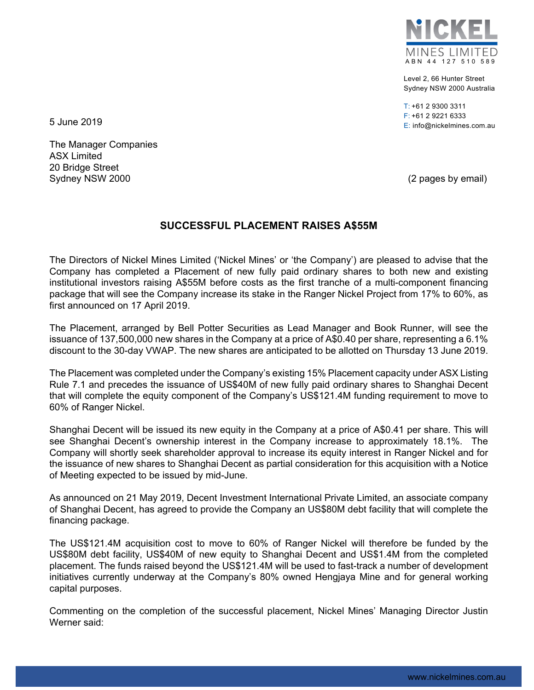

Level 2, 66 Hunter Street Sydney NSW 2000 Australia

 $T: +61$  2 9300 3311 F: +61 2 9221 6333 E: info@nickelmines.com.au 5 June 2019

The Manager Companies ASX Limited 20 Bridge Street Sydney NSW 2000 **(2 pages by email)** Sydney NSW 2000

## **SUCCESSFUL PLACEMENT RAISES A\$55M**

The Directors of Nickel Mines Limited ('Nickel Mines' or 'the Company') are pleased to advise that the Company has completed a Placement of new fully paid ordinary shares to both new and existing institutional investors raising A\$55M before costs as the first tranche of a multi-component financing package that will see the Company increase its stake in the Ranger Nickel Project from 17% to 60%, as first announced on 17 April 2019.

The Placement, arranged by Bell Potter Securities as Lead Manager and Book Runner, will see the issuance of 137,500,000 new shares in the Company at a price of A\$0.40 per share, representing a 6.1% discount to the 30-day VWAP. The new shares are anticipated to be allotted on Thursday 13 June 2019.

The Placement was completed under the Company's existing 15% Placement capacity under ASX Listing Rule 7.1 and precedes the issuance of US\$40M of new fully paid ordinary shares to Shanghai Decent that will complete the equity component of the Company's US\$121.4M funding requirement to move to 60% of Ranger Nickel.

Shanghai Decent will be issued its new equity in the Company at a price of A\$0.41 per share. This will see Shanghai Decent's ownership interest in the Company increase to approximately 18.1%. The Company will shortly seek shareholder approval to increase its equity interest in Ranger Nickel and for the issuance of new shares to Shanghai Decent as partial consideration for this acquisition with a Notice of Meeting expected to be issued by mid-June.

As announced on 21 May 2019, Decent Investment International Private Limited, an associate company of Shanghai Decent, has agreed to provide the Company an US\$80M debt facility that will complete the financing package.

The US\$121.4M acquisition cost to move to 60% of Ranger Nickel will therefore be funded by the US\$80M debt facility, US\$40M of new equity to Shanghai Decent and US\$1.4M from the completed placement. The funds raised beyond the US\$121.4M will be used to fast-track a number of development initiatives currently underway at the Company's 80% owned Hengjaya Mine and for general working capital purposes.

Commenting on the completion of the successful placement, Nickel Mines' Managing Director Justin Werner said: